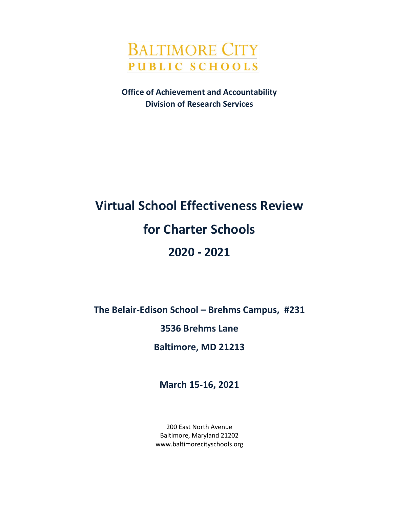

**Office of Achievement and Accountability Division of Research Services**

# **Virtual School Effectiveness Review for Charter Schools 2020 - 2021**

**The Belair-Edison School – Brehms Campus, #231**

**3536 Brehms Lane**

**Baltimore, MD 21213**

**March 15-16, 2021**

200 East North Avenue Baltimore, Maryland 21202 www.baltimorecityschools.org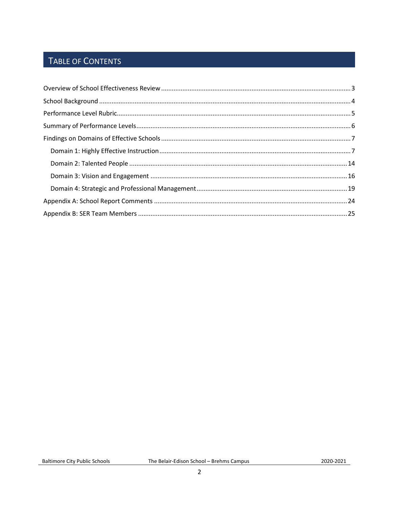# TABLE OF CONTENTS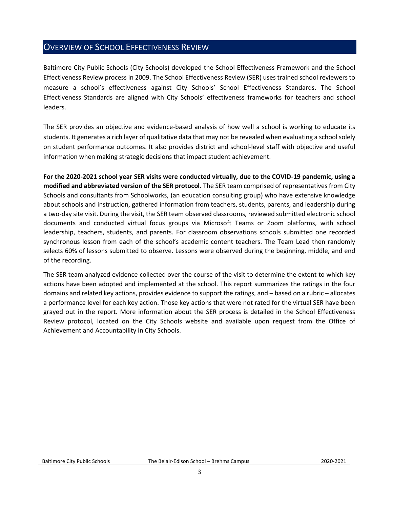## <span id="page-2-0"></span>OVERVIEW OF SCHOOL EFFECTIVENESS REVIEW

Baltimore City Public Schools (City Schools) developed the School Effectiveness Framework and the School Effectiveness Review process in 2009. The School Effectiveness Review (SER) uses trained school reviewers to measure a school's effectiveness against City Schools' School Effectiveness Standards. The School Effectiveness Standards are aligned with City Schools' effectiveness frameworks for teachers and school leaders.

The SER provides an objective and evidence-based analysis of how well a school is working to educate its students. It generates a rich layer of qualitative data that may not be revealed when evaluating a school solely on student performance outcomes. It also provides district and school-level staff with objective and useful information when making strategic decisions that impact student achievement.

**For the 2020-2021 school year SER visits were conducted virtually, due to the COVID-19 pandemic, using a modified and abbreviated version of the SER protocol.** The SER team comprised of representatives from City Schools and consultants from Schoolworks, (an education consulting group) who have extensive knowledge about schools and instruction, gathered information from teachers, students, parents, and leadership during a two-day site visit. During the visit, the SER team observed classrooms, reviewed submitted electronic school documents and conducted virtual focus groups via Microsoft Teams or Zoom platforms, with school leadership, teachers, students, and parents. For classroom observations schools submitted one recorded synchronous lesson from each of the school's academic content teachers. The Team Lead then randomly selects 60% of lessons submitted to observe. Lessons were observed during the beginning, middle, and end of the recording.

The SER team analyzed evidence collected over the course of the visit to determine the extent to which key actions have been adopted and implemented at the school. This report summarizes the ratings in the four domains and related key actions, provides evidence to support the ratings, and – based on a rubric – allocates a performance level for each key action. Those key actions that were not rated for the virtual SER have been grayed out in the report. More information about the SER process is detailed in the School Effectiveness Review protocol, located on the City Schools website and available upon request from the Office of Achievement and Accountability in City Schools.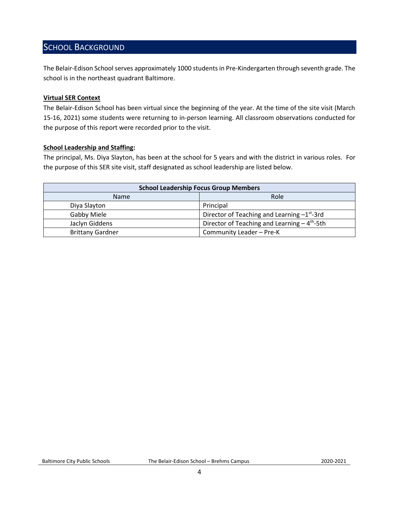### <span id="page-3-0"></span>SCHOOL BACKGROUND

The Belair-Edison School serves approximately 1000 students in Pre-Kindergarten through seventh grade. The school is in the northeast quadrant Baltimore.

#### **Virtual SER Context**

The Belair-Edison School has been virtual since the beginning of the year. At the time of the site visit (March 15-16, 2021) some students were returning to in-person learning. All classroom observations conducted for the purpose of this report were recorded prior to the visit.

#### **School Leadership and Staffing:**

The principal, Ms. Diya Slayton, has been at the school for 5 years and with the district in various roles. For the purpose of this SER site visit, staff designated as school leadership are listed below.

<span id="page-3-1"></span>

| <b>School Leadership Focus Group Members</b> |                                                          |  |  |
|----------------------------------------------|----------------------------------------------------------|--|--|
| <b>Name</b>                                  | Role                                                     |  |  |
| Diya Slayton                                 | Principal                                                |  |  |
| Gabby Miele                                  | Director of Teaching and Learning $-1^{st}$ -3rd         |  |  |
| Jaclyn Giddens                               | Director of Teaching and Learning - 4 <sup>th</sup> -5th |  |  |
| <b>Brittany Gardner</b>                      | Community Leader - Pre-K                                 |  |  |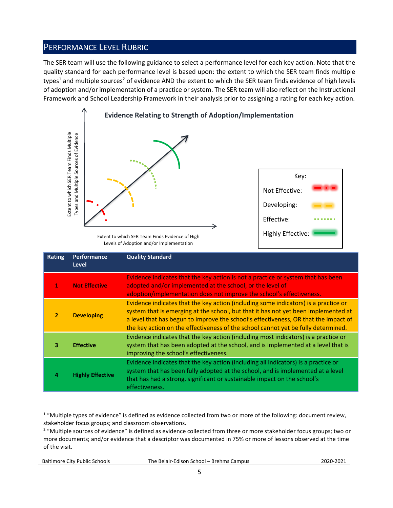## PERFORMANCE LEVEL RUBRIC

The SER team will use the following guidance to select a performance level for each key action. Note that the quality standard for each performance level is based upon: the extent to which the SER team finds multiple types<sup>1</sup> and multiple sources<sup>2</sup> of evidence AND the extent to which the SER team finds evidence of high levels of adoption and/or implementation of a practice or system. The SER team will also reflect on the Instructional Framework and School Leadership Framework in their analysis prior to assigning a rating for each key action.



Levels of Adoption and/or Implementation

|                | Extent to which SER Team Finds Multiple<br>Types and Multiple Sources of Evidence | Extent to which SER Team Finds Evidence of High<br>Levels of Adoption and/or Implementation                                                                                                                                                                                                                                                                                                                                                    | Key:<br>Not Effective:<br>Developing:<br>Effective:<br><b>Highly Effective:</b> |  |
|----------------|-----------------------------------------------------------------------------------|------------------------------------------------------------------------------------------------------------------------------------------------------------------------------------------------------------------------------------------------------------------------------------------------------------------------------------------------------------------------------------------------------------------------------------------------|---------------------------------------------------------------------------------|--|
| <b>Rating</b>  | Performance<br><b>Level</b>                                                       | <b>Quality Standard</b>                                                                                                                                                                                                                                                                                                                                                                                                                        |                                                                                 |  |
| 1              | <b>Not Effective</b>                                                              | Evidence indicates that the key action is not a practice or system that has been<br>adopted and/or implemented at the school, or the level of<br>adoption/implementation does not improve the school's effectiveness.                                                                                                                                                                                                                          |                                                                                 |  |
| $\overline{2}$ | <b>Developing</b>                                                                 | Evidence indicates that the key action (including some indicators) is a practice or<br>system that is emerging at the school, but that it has not yet been implemented at<br>a level that has begun to improve the school's effectiveness, OR that the impact of<br>the key action on the effectiveness of the school cannot yet be fully determined.                                                                                          |                                                                                 |  |
| 3              | <b>Effective</b>                                                                  | Evidence indicates that the key action (including most indicators) is a practice or<br>system that has been adopted at the school, and is implemented at a level that is<br>improving the school's effectiveness.                                                                                                                                                                                                                              |                                                                                 |  |
| 4              | <b>Highly Effective</b>                                                           | Evidence indicates that the key action (including all indicators) is a practice or<br>system that has been fully adopted at the school, and is implemented at a level<br>that has had a strong, significant or sustainable impact on the school's<br>effectiveness.                                                                                                                                                                            |                                                                                 |  |
| of the visit.  |                                                                                   | <sup>1</sup> "Multiple types of evidence" is defined as evidence collected from two or more of the following: document review,<br>stakeholder focus groups; and classroom observations.<br><sup>2</sup> "Multiple sources of evidence" is defined as evidence collected from three or more stakeholder focus groups; two or<br>more documents; and/or evidence that a descriptor was documented in 75% or more of lessons observed at the time |                                                                                 |  |

 $1$  "Multiple types of evidence" is defined as evidence collected from two or more of the following: document review, stakeholder focus groups; and classroom observations.

Baltimore City Public Schools The Belair-Edison School – Brehms Campus2020-2021

<sup>&</sup>lt;sup>2</sup> "Multiple sources of evidence" is defined as evidence collected from three or more stakeholder focus groups; two or more documents; and/or evidence that a descriptor was documented in 75% or more of lessons observed at the time of the visit.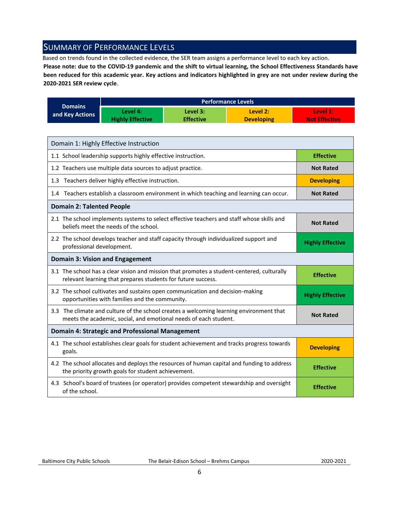## <span id="page-5-0"></span>SUMMARY OF PERFORMANCE LEVELS

Based on trends found in the collected evidence, the SER team assigns a performance level to each key action.

**Please note: due to the COVID-19 pandemic and the shift to virtual learning, the School Effectiveness Standards have been reduced for this academic year. Key actions and indicators highlighted in grey are not under review during the 2020-2021 SER review cycle**.

|                 | <b>Performance Levels</b> |                  |                   |                      |
|-----------------|---------------------------|------------------|-------------------|----------------------|
| <b>Domains</b>  | Level 4:                  | Level 3:         | Level 2:          | Level 1:             |
| and Key Actions | <b>Highly Effective</b>   | <b>Effective</b> | <b>Developing</b> | <b>Not Effective</b> |

| Domain 1: Highly Effective Instruction                                                                                                                      |                         |
|-------------------------------------------------------------------------------------------------------------------------------------------------------------|-------------------------|
| 1.1 School leadership supports highly effective instruction.                                                                                                | <b>Effective</b>        |
| 1.2 Teachers use multiple data sources to adjust practice.                                                                                                  | <b>Not Rated</b>        |
| 1.3 Teachers deliver highly effective instruction.                                                                                                          | <b>Developing</b>       |
| 1.4 Teachers establish a classroom environment in which teaching and learning can occur.                                                                    | <b>Not Rated</b>        |
| <b>Domain 2: Talented People</b>                                                                                                                            |                         |
| 2.1 The school implements systems to select effective teachers and staff whose skills and<br>beliefs meet the needs of the school.                          | <b>Not Rated</b>        |
| 2.2 The school develops teacher and staff capacity through individualized support and<br>professional development.                                          | <b>Highly Effective</b> |
| <b>Domain 3: Vision and Engagement</b>                                                                                                                      |                         |
| 3.1 The school has a clear vision and mission that promotes a student-centered, culturally<br>relevant learning that prepares students for future success.  | <b>Effective</b>        |
| 3.2 The school cultivates and sustains open communication and decision-making<br>opportunities with families and the community.                             | <b>Highly Effective</b> |
| 3.3 The climate and culture of the school creates a welcoming learning environment that<br>meets the academic, social, and emotional needs of each student. | <b>Not Rated</b>        |
| <b>Domain 4: Strategic and Professional Management</b>                                                                                                      |                         |
| 4.1 The school establishes clear goals for student achievement and tracks progress towards<br>goals.                                                        | <b>Developing</b>       |
| 4.2 The school allocates and deploys the resources of human capital and funding to address<br>the priority growth goals for student achievement.            | <b>Effective</b>        |
| 4.3 School's board of trustees (or operator) provides competent stewardship and oversight<br>of the school.                                                 | <b>Effective</b>        |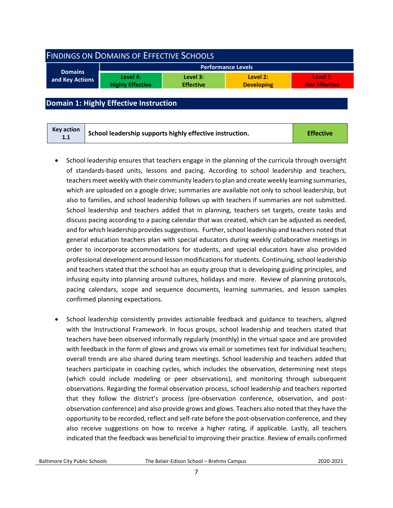<span id="page-6-0"></span>

| <b>FINDINGS ON DOMAINS OF EFFECTIVE SCHOOLS</b> |                                     |                              |                               |                                  |  |
|-------------------------------------------------|-------------------------------------|------------------------------|-------------------------------|----------------------------------|--|
| <b>Performance Levels</b>                       |                                     |                              |                               |                                  |  |
| <b>Domains</b><br>and Key Actions               | Level 4:<br><b>Highly Effective</b> | Level 3:<br><b>Effective</b> | Level 2:<br><b>Developing</b> | Level 1:<br><b>Not Effective</b> |  |
|                                                 |                                     |                              |                               |                                  |  |

#### <span id="page-6-1"></span>**Domain 1: Highly Effective Instruction**

- School leadership ensures that teachers engage in the planning of the curricula through oversight of standards-based units, lessons and pacing. According to school leadership and teachers, teachers meet weekly with their community leaders to plan and create weekly learning summaries, which are uploaded on a google drive; summaries are available not only to school leadership, but also to families, and school leadership follows up with teachers if summaries are not submitted. School leadership and teachers added that in planning, teachers set targets, create tasks and discuss pacing according to a pacing calendar that was created, which can be adjusted as needed, and for which leadership provides suggestions. Further, school leadership and teachers noted that general education teachers plan with special educators during weekly collaborative meetings in order to incorporate accommodations for students, and special educators have also provided professional development around lesson modifications for students. Continuing, school leadership and teachers stated that the school has an equity group that is developing guiding principles, and infusing equity into planning around cultures, holidays and more. Review of planning protocols, pacing calendars, scope and sequence documents, learning summaries, and lesson samples confirmed planning expectations.
- School leadership consistently provides actionable feedback and guidance to teachers, aligned with the Instructional Framework. In focus groups, school leadership and teachers stated that teachers have been observed informally regularly (monthly) in the virtual space and are provided with feedback in the form of glows and grows via email or sometimes text for individual teachers; overall trends are also shared during team meetings. School leadership and teachers added that teachers participate in coaching cycles, which includes the observation, determining next steps (which could include modeling or peer observations), and monitoring through subsequent observations. Regarding the formal observation process, school leadership and teachers reported that they follow the district's process (pre-observation conference, observation, and postobservation conference) and also provide grows and glows. Teachers also noted that they have the opportunity to be recorded, reflect and self-rate before the post-observation conference, and they also receive suggestions on how to receive a higher rating, if applicable. Lastly, all teachers indicated that the feedback was beneficial to improving their practice. Review of emails confirmed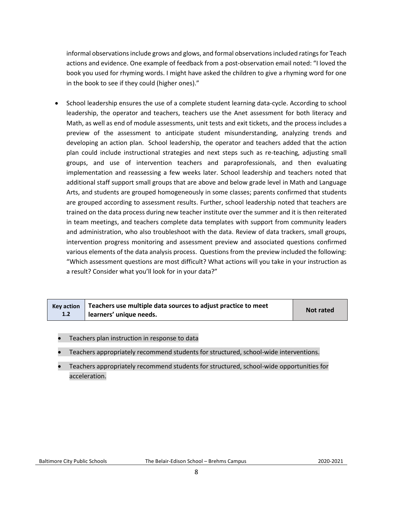informal observations include grows and glows, and formal observations included ratings for Teach actions and evidence. One example of feedback from a post-observation email noted: "I loved the book you used for rhyming words. I might have asked the children to give a rhyming word for one in the book to see if they could (higher ones)."

• School leadership ensures the use of a complete student learning data-cycle. According to school leadership, the operator and teachers, teachers use the Anet assessment for both literacy and Math, as well as end of module assessments, unit tests and exit tickets, and the process includes a preview of the assessment to anticipate student misunderstanding, analyzing trends and developing an action plan. School leadership, the operator and teachers added that the action plan could include instructional strategies and next steps such as re-teaching, adjusting small groups, and use of intervention teachers and paraprofessionals, and then evaluating implementation and reassessing a few weeks later. School leadership and teachers noted that additional staff support small groups that are above and below grade level in Math and Language Arts, and students are grouped homogeneously in some classes; parents confirmed that students are grouped according to assessment results. Further, school leadership noted that teachers are trained on the data process during new teacher institute over the summer and it is then reiterated in team meetings, and teachers complete data templates with support from community leaders and administration, who also troubleshoot with the data. Review of data trackers, small groups, intervention progress monitoring and assessment preview and associated questions confirmed various elements of the data analysis process. Questions from the preview included the following: "Which assessment questions are most difficult? What actions will you take in your instruction as a result? Consider what you'll look for in your data?"

|     | $Key$ action $\parallel$ Teachers use multiple data sources to adjust practice to meet | <b>Not rated</b> |
|-----|----------------------------------------------------------------------------------------|------------------|
| 1.2 | learners' unique needs.                                                                |                  |

- Teachers plan instruction in response to data
- Teachers appropriately recommend students for structured, school-wide interventions.
- Teachers appropriately recommend students for structured, school-wide opportunities for acceleration.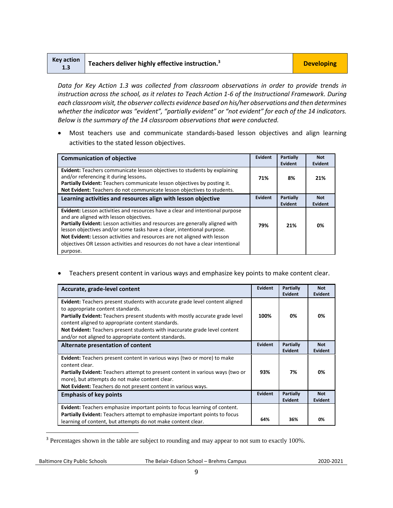| <b>Key action</b><br>1.3 | $\blacktriangle$ Teachers deliver highly effective instruction. <sup>3</sup> | <b>Developing</b> |
|--------------------------|------------------------------------------------------------------------------|-------------------|
|--------------------------|------------------------------------------------------------------------------|-------------------|

*Data for Key Action 1.3 was collected from classroom observations in order to provide trends in instruction across the school, as it relates to Teach Action 1-6 of the Instructional Framework. During each classroom visit, the observer collects evidence based on his/her observations and then determines*  whether the indicator was "evident", "partially evident" or "not evident" for each of the 14 indicators. *Below is the summary of the 14 classroom observations that were conducted.* 

• Most teachers use and communicate standards-based lesson objectives and align learning activities to the stated lesson objectives.

| <b>Communication of objective</b>                                                                                                                                                                                                                                                                                                                                                                                                                            | Evident        | Partially<br>Evident        | <b>Not</b><br>Evident        |
|--------------------------------------------------------------------------------------------------------------------------------------------------------------------------------------------------------------------------------------------------------------------------------------------------------------------------------------------------------------------------------------------------------------------------------------------------------------|----------------|-----------------------------|------------------------------|
| <b>Evident:</b> Teachers communicate lesson objectives to students by explaining<br>and/or referencing it during lessons.<br>Partially Evident: Teachers communicate lesson objectives by posting it.<br>Not Evident: Teachers do not communicate lesson objectives to students.                                                                                                                                                                             | 71%            | 8%                          | 21%                          |
| Learning activities and resources align with lesson objective                                                                                                                                                                                                                                                                                                                                                                                                | <b>Evident</b> | <b>Partially</b><br>Evident | <b>Not</b><br><b>Evident</b> |
| Evident: Lesson activities and resources have a clear and intentional purpose<br>and are aligned with lesson objectives.<br>Partially Evident: Lesson activities and resources are generally aligned with<br>lesson objectives and/or some tasks have a clear, intentional purpose.<br>Not Evident: Lesson activities and resources are not aligned with lesson<br>objectives OR Lesson activities and resources do not have a clear intentional<br>purpose. | 79%            | 21%                         | 0%                           |

• Teachers present content in various ways and emphasize key points to make content clear.

| Accurate, grade-level content                                                                                                                                                                                                                                                                                                                                                                               | <b>Evident</b> | <b>Partially</b><br><b>Evident</b> | <b>Not</b><br><b>Evident</b> |
|-------------------------------------------------------------------------------------------------------------------------------------------------------------------------------------------------------------------------------------------------------------------------------------------------------------------------------------------------------------------------------------------------------------|----------------|------------------------------------|------------------------------|
| Evident: Teachers present students with accurate grade level content aligned<br>to appropriate content standards.<br><b>Partially Evident:</b> Teachers present students with mostly accurate grade level<br>content aligned to appropriate content standards.<br><b>Not Evident:</b> Teachers present students with inaccurate grade level content<br>and/or not aligned to appropriate content standards. | 100%           | 0%                                 | 0%                           |
| Alternate presentation of content                                                                                                                                                                                                                                                                                                                                                                           | <b>Evident</b> | Partially<br><b>Evident</b>        | <b>Not</b><br>Evident        |
| <b>Evident:</b> Teachers present content in various ways (two or more) to make<br>content clear.<br><b>Partially Evident:</b> Teachers attempt to present content in various ways (two or<br>more), but attempts do not make content clear.<br>Not Evident: Teachers do not present content in various ways.                                                                                                | 93%            | 7%                                 | 0%                           |
| <b>Emphasis of key points</b>                                                                                                                                                                                                                                                                                                                                                                               | <b>Evident</b> | Partially<br><b>Evident</b>        | <b>Not</b><br><b>Evident</b> |
| <b>Evident:</b> Teachers emphasize important points to focus learning of content.<br><b>Partially Evident:</b> Teachers attempt to emphasize important points to focus<br>learning of content, but attempts do not make content clear.                                                                                                                                                                      | 64%            | 36%                                | 0%                           |

<sup>3</sup> Percentages shown in the table are subject to rounding and may appear to not sum to exactly 100%.

l

Baltimore City Public Schools The Belair-Edison School – Brehms Campus2020-2021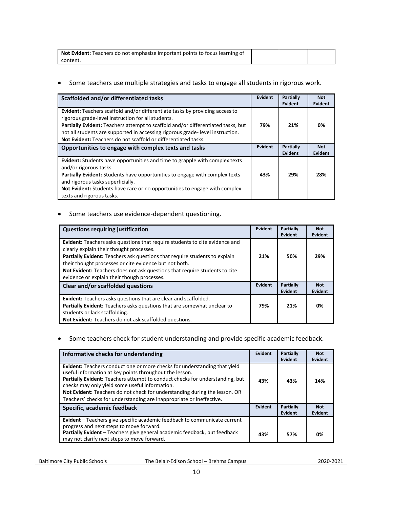| <b>Not Evident:</b> Teachers do not emphasize important points to focus learning of |  |  |
|-------------------------------------------------------------------------------------|--|--|
| .content                                                                            |  |  |

#### • Some teachers use multiple strategies and tasks to engage all students in rigorous work.

| Scaffolded and/or differentiated tasks                                                                                                                                                                                                                                                                                                                                                  | <b>Evident</b> | Partially<br>Evident | <b>Not</b><br>Evident |
|-----------------------------------------------------------------------------------------------------------------------------------------------------------------------------------------------------------------------------------------------------------------------------------------------------------------------------------------------------------------------------------------|----------------|----------------------|-----------------------|
| <b>Evident:</b> Teachers scaffold and/or differentiate tasks by providing access to<br>rigorous grade-level instruction for all students.<br>Partially Evident: Teachers attempt to scaffold and/or differentiated tasks, but<br>not all students are supported in accessing rigorous grade-level instruction.<br><b>Not Evident:</b> Teachers do not scaffold or differentiated tasks. | 79%            | 21%                  | 0%                    |
| Opportunities to engage with complex texts and tasks                                                                                                                                                                                                                                                                                                                                    | <b>Evident</b> | Partially<br>Evident | <b>Not</b><br>Evident |
| <b>Evident:</b> Students have opportunities and time to grapple with complex texts<br>and/or rigorous tasks.<br>Partially Evident: Students have opportunities to engage with complex texts<br>and rigorous tasks superficially.<br>Not Evident: Students have rare or no opportunities to engage with complex<br>texts and rigorous tasks.                                             | 43%            | 29%                  | 28%                   |

#### • Some teachers use evidence-dependent questioning.

| <b>Questions requiring justification</b>                                                                                                                                                                                                                                                                                                                                                            | <b>Evident</b> | <b>Partially</b><br>Evident | <b>Not</b><br>Evident        |
|-----------------------------------------------------------------------------------------------------------------------------------------------------------------------------------------------------------------------------------------------------------------------------------------------------------------------------------------------------------------------------------------------------|----------------|-----------------------------|------------------------------|
| <b>Evident:</b> Teachers asks questions that require students to cite evidence and<br>clearly explain their thought processes.<br>Partially Evident: Teachers ask questions that require students to explain<br>their thought processes or cite evidence but not both.<br>Not Evident: Teachers does not ask questions that require students to cite<br>evidence or explain their though processes. | 21%            | 50%                         | 29%                          |
| Clear and/or scaffolded questions                                                                                                                                                                                                                                                                                                                                                                   | Evident        | Partially<br>Evident        | <b>Not</b><br><b>Evident</b> |
| Evident: Teachers asks questions that are clear and scaffolded.<br>Partially Evident: Teachers asks questions that are somewhat unclear to<br>students or lack scaffolding.                                                                                                                                                                                                                         | 79%            | 21%                         | 0%                           |
| Not Evident: Teachers do not ask scaffolded questions.                                                                                                                                                                                                                                                                                                                                              |                |                             |                              |

#### • Some teachers check for student understanding and provide specific academic feedback.

| Informative checks for understanding                                                                                                                                                                                                                                                                                                                                                                                         | Evident | <b>Partially</b><br>Evident | <b>Not</b><br>Evident |
|------------------------------------------------------------------------------------------------------------------------------------------------------------------------------------------------------------------------------------------------------------------------------------------------------------------------------------------------------------------------------------------------------------------------------|---------|-----------------------------|-----------------------|
| Evident: Teachers conduct one or more checks for understanding that yield<br>useful information at key points throughout the lesson.<br>Partially Evident: Teachers attempt to conduct checks for understanding, but<br>checks may only yield some useful information.<br>Not Evident: Teachers do not check for understanding during the lesson. OR<br>Teachers' checks for understanding are inappropriate or ineffective. | 43%     | 43%                         | 14%                   |
| Specific, academic feedback                                                                                                                                                                                                                                                                                                                                                                                                  | Evident | Partially<br>Evident        | <b>Not</b><br>Evident |
| Evident - Teachers give specific academic feedback to communicate current<br>progress and next steps to move forward.<br>Partially Evident - Teachers give general academic feedback, but feedback<br>may not clarify next steps to move forward.                                                                                                                                                                            | 43%     | 57%                         | 0%                    |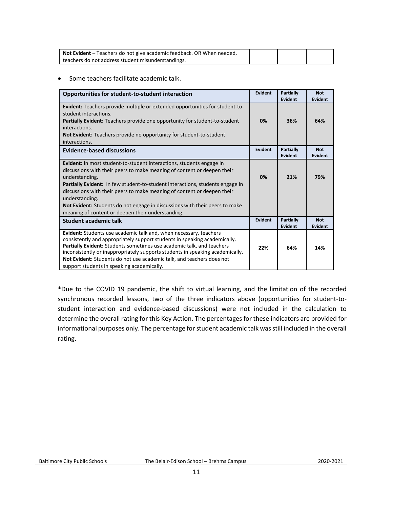| Not Evident - Teachers do not give academic feedback. OR When needed, |  |  |
|-----------------------------------------------------------------------|--|--|
| teachers do not address student misunderstandings.                    |  |  |

#### • Some teachers facilitate academic talk.

| Opportunities for student-to-student interaction                                                                                                                                                                                                                                                                                                                                                                                                                                                  | Evident | Partially<br>Evident        | <b>Not</b><br><b>Evident</b> |
|---------------------------------------------------------------------------------------------------------------------------------------------------------------------------------------------------------------------------------------------------------------------------------------------------------------------------------------------------------------------------------------------------------------------------------------------------------------------------------------------------|---------|-----------------------------|------------------------------|
| <b>Evident:</b> Teachers provide multiple or extended opportunities for student-to-<br>student interactions.<br><b>Partially Evident:</b> Teachers provide one opportunity for student-to-student<br>interactions.<br>Not Evident: Teachers provide no opportunity for student-to-student<br>interactions.                                                                                                                                                                                        | 0%      | 36%                         | 64%                          |
| <b>Evidence-based discussions</b>                                                                                                                                                                                                                                                                                                                                                                                                                                                                 | Evident | Partially<br>Evident        | <b>Not</b><br><b>Evident</b> |
| <b>Evident:</b> In most student-to-student interactions, students engage in<br>discussions with their peers to make meaning of content or deepen their<br>understanding.<br><b>Partially Evident:</b> In few student-to-student interactions, students engage in<br>discussions with their peers to make meaning of content or deepen their<br>understanding.<br>Not Evident: Students do not engage in discussions with their peers to make<br>meaning of content or deepen their understanding. | 0%      | 21%                         | 79%                          |
| Student academic talk                                                                                                                                                                                                                                                                                                                                                                                                                                                                             | Evident | <b>Partially</b><br>Evident | <b>Not</b><br><b>Evident</b> |
| Evident: Students use academic talk and, when necessary, teachers<br>consistently and appropriately support students in speaking academically.<br>Partially Evident: Students sometimes use academic talk, and teachers<br>inconsistently or inappropriately supports students in speaking academically.<br>Not Evident: Students do not use academic talk, and teachers does not<br>support students in speaking academically.                                                                   | 22%     | 64%                         | 14%                          |

\*Due to the COVID 19 pandemic, the shift to virtual learning, and the limitation of the recorded synchronous recorded lessons, two of the three indicators above (opportunities for student-tostudent interaction and evidence-based discussions) were not included in the calculation to determine the overall rating for this Key Action. The percentages for these indicators are provided for informational purposes only. The percentage for student academic talk was still included in the overall rating.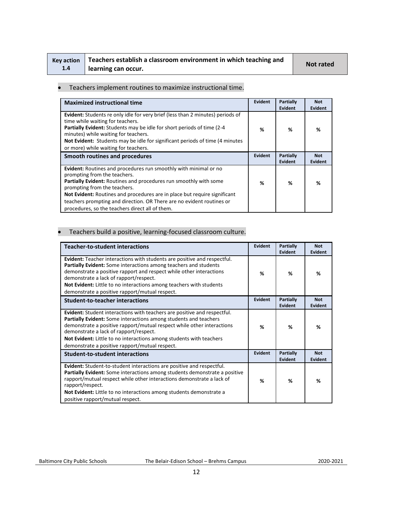|     | Key action   Teachers establish a classroom environment in which teaching and | <b>Not rated</b> |
|-----|-------------------------------------------------------------------------------|------------------|
| 1.4 | learning can occur.                                                           |                  |

#### • Teachers implement routines to maximize instructional time.

| <b>Maximized instructional time</b>                                                                                                                                                                                                                                                                                                                                                                            | Evident        | Partially<br><b>Evident</b>        | <b>Not</b><br>Evident        |
|----------------------------------------------------------------------------------------------------------------------------------------------------------------------------------------------------------------------------------------------------------------------------------------------------------------------------------------------------------------------------------------------------------------|----------------|------------------------------------|------------------------------|
| <b>Evident:</b> Students re only idle for very brief (less than 2 minutes) periods of<br>time while waiting for teachers.<br><b>Partially Evident:</b> Students may be idle for short periods of time (2-4)<br>minutes) while waiting for teachers.<br>Not Evident: Students may be idle for significant periods of time (4 minutes)<br>or more) while waiting for teachers.                                   | %              | ℅                                  | %                            |
| Smooth routines and procedures                                                                                                                                                                                                                                                                                                                                                                                 | <b>Evident</b> | <b>Partially</b><br><b>Evident</b> | <b>Not</b><br><b>Evident</b> |
| Evident: Routines and procedures run smoothly with minimal or no<br>prompting from the teachers.<br>Partially Evident: Routines and procedures run smoothly with some<br>prompting from the teachers.<br>Not Evident: Routines and procedures are in place but require significant<br>teachers prompting and direction. OR There are no evident routines or<br>procedures, so the teachers direct all of them. | %              | %                                  | %                            |

#### • Teachers build a positive, learning-focused classroom culture.

| <b>Teacher-to-student interactions</b>                                                                                                                                                                                                                                                                                                                                                           | Evident        | Partially<br><b>Evident</b> | <b>Not</b><br>Evident |
|--------------------------------------------------------------------------------------------------------------------------------------------------------------------------------------------------------------------------------------------------------------------------------------------------------------------------------------------------------------------------------------------------|----------------|-----------------------------|-----------------------|
| Evident: Teacher interactions with students are positive and respectful.<br>Partially Evident: Some interactions among teachers and students<br>demonstrate a positive rapport and respect while other interactions<br>demonstrate a lack of rapport/respect.<br>Not Evident: Little to no interactions among teachers with students<br>demonstrate a positive rapport/mutual respect.           | %              | %                           | %                     |
| <b>Student-to-teacher interactions</b>                                                                                                                                                                                                                                                                                                                                                           | <b>Evident</b> | Partially<br>Evident        | <b>Not</b><br>Evident |
| <b>Evident:</b> Student interactions with teachers are positive and respectful.<br>Partially Evident: Some interactions among students and teachers<br>demonstrate a positive rapport/mutual respect while other interactions<br>demonstrate a lack of rapport/respect.<br>Not Evident: Little to no interactions among students with teachers<br>demonstrate a positive rapport/mutual respect. | %              | %                           | %                     |
| <b>Student-to-student interactions</b>                                                                                                                                                                                                                                                                                                                                                           | Evident        | <b>Partially</b><br>Evident | <b>Not</b><br>Evident |
| Evident: Student-to-student interactions are positive and respectful.<br><b>Partially Evident:</b> Some interactions among students demonstrate a positive<br>rapport/mutual respect while other interactions demonstrate a lack of<br>rapport/respect.<br>Not Evident: Little to no interactions among students demonstrate a<br>positive rapport/mutual respect.                               | %              | %                           | %                     |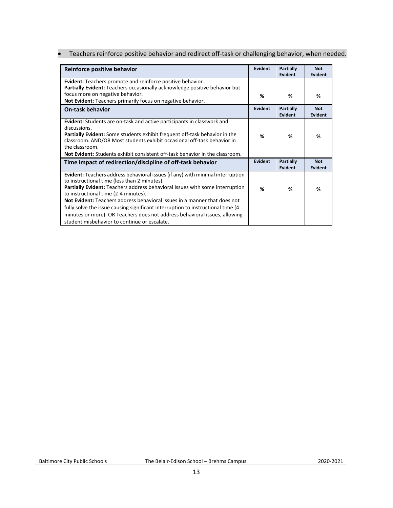• Teachers reinforce positive behavior and redirect off-task or challenging behavior, when needed.

| Reinforce positive behavior                                                                                                                                                                                                                                                                                                                                                                                                                                                                                                                                  | Evident | <b>Partially</b><br>Evident | <b>Not</b><br>Evident        |
|--------------------------------------------------------------------------------------------------------------------------------------------------------------------------------------------------------------------------------------------------------------------------------------------------------------------------------------------------------------------------------------------------------------------------------------------------------------------------------------------------------------------------------------------------------------|---------|-----------------------------|------------------------------|
| <b>Evident:</b> Teachers promote and reinforce positive behavior.<br>Partially Evident: Teachers occasionally acknowledge positive behavior but                                                                                                                                                                                                                                                                                                                                                                                                              |         |                             |                              |
| focus more on negative behavior.<br>Not Evident: Teachers primarily focus on negative behavior.                                                                                                                                                                                                                                                                                                                                                                                                                                                              | %       | %                           | %                            |
| <b>On-task behavior</b>                                                                                                                                                                                                                                                                                                                                                                                                                                                                                                                                      | Evident | <b>Partially</b><br>Evident | <b>Not</b><br><b>Evident</b> |
| <b>Evident:</b> Students are on-task and active participants in classwork and<br>discussions.<br><b>Partially Evident:</b> Some students exhibit frequent off-task behavior in the<br>classroom. AND/OR Most students exhibit occasional off-task behavior in<br>the classroom.<br><b>Not Evident:</b> Students exhibit consistent off-task behavior in the classroom.                                                                                                                                                                                       | %       | %                           | %                            |
| Time impact of redirection/discipline of off-task behavior                                                                                                                                                                                                                                                                                                                                                                                                                                                                                                   | Evident | Partially<br>Evident        | <b>Not</b><br><b>Evident</b> |
| <b>Evident:</b> Teachers address behavioral issues (if any) with minimal interruption<br>to instructional time (less than 2 minutes).<br>Partially Evident: Teachers address behavioral issues with some interruption<br>to instructional time (2-4 minutes).<br>Not Evident: Teachers address behavioral issues in a manner that does not<br>fully solve the issue causing significant interruption to instructional time (4)<br>minutes or more). OR Teachers does not address behavioral issues, allowing<br>student misbehavior to continue or escalate. | %       | ℅                           | %                            |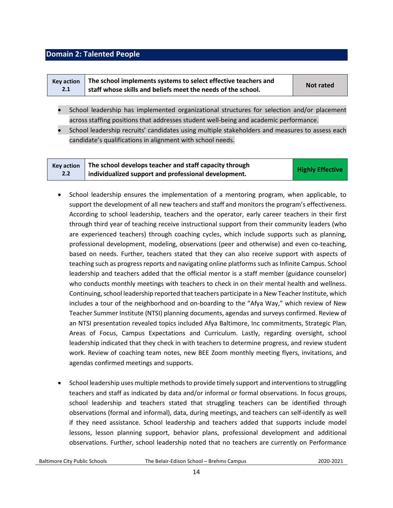#### <span id="page-13-0"></span>**Domain 2: Talented People**

|     | Key action $\parallel$ The school implements systems to select effective teachers and | Not rated |
|-----|---------------------------------------------------------------------------------------|-----------|
| 2.1 | staff whose skills and beliefs meet the needs of the school.                          |           |

- School leadership has implemented organizational structures for selection and/or placement across staffing positions that addresses student well-being and academic performance.
- School leadership recruits' candidates using multiple stakeholders and measures to assess each candidate's qualifications in alignment with school needs.

| <b>Kev action</b> | The school develops teacher and staff capacity through | <b>Highly Effective</b> |
|-------------------|--------------------------------------------------------|-------------------------|
| 2.2               | individualized support and professional development.   |                         |

- School leadership ensures the implementation of a mentoring program, when applicable, to support the development of all new teachers and staff and monitors the program's effectiveness. According to school leadership, teachers and the operator, early career teachers in their first through third year of teaching receive instructional support from their community leaders (who are experienced teachers) through coaching cycles, which include supports such as planning, professional development, modeling, observations (peer and otherwise) and even co-teaching, based on needs. Further, teachers stated that they can also receive support with aspects of teaching such as progress reports and navigating online platforms such as Infinite Campus. School leadership and teachers added that the official mentor is a staff member (guidance counselor) who conducts monthly meetings with teachers to check in on their mental health and wellness. Continuing, school leadership reported that teachers participate in a New Teacher Institute, which includes a tour of the neighborhood and on-boarding to the "Afya Way," which review of New Teacher Summer Institute (NTSI) planning documents, agendas and surveys confirmed. Review of an NTSI presentation revealed topics included Afya Baltimore, Inc commitments, Strategic Plan, Areas of Focus, Campus Expectations and Curriculum. Lastly, regarding oversight, school leadership indicated that they check in with teachers to determine progress, and review student work. Review of coaching team notes, new BEE Zoom monthly meeting flyers, invitations, and agendas confirmed meetings and supports.
- School leadership uses multiple methods to provide timely support and interventions to struggling teachers and staff as indicated by data and/or informal or formal observations. In focus groups, school leadership and teachers stated that struggling teachers can be identified through observations (formal and informal), data, during meetings, and teachers can self-identify as well if they need assistance. School leadership and teachers added that supports include model lessons, lesson planning support, behavior plans, professional development and additional observations. Further, school leadership noted that no teachers are currently on Performance

Baltimore City Public Schools The Belair-Edison School – Brehms Campus2020-2021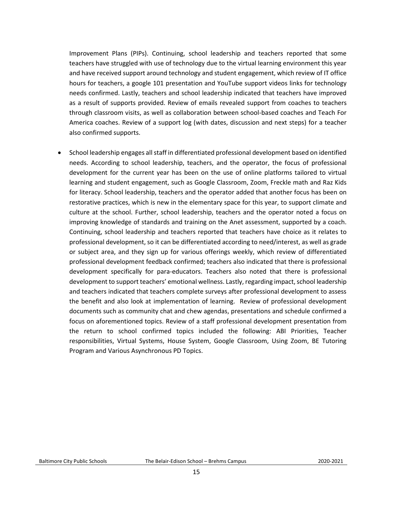Improvement Plans (PIPs). Continuing, school leadership and teachers reported that some teachers have struggled with use of technology due to the virtual learning environment this year and have received support around technology and student engagement, which review of IT office hours for teachers, a google 101 presentation and YouTube support videos links for technology needs confirmed. Lastly, teachers and school leadership indicated that teachers have improved as a result of supports provided. Review of emails revealed support from coaches to teachers through classroom visits, as well as collaboration between school-based coaches and Teach For America coaches. Review of a support log (with dates, discussion and next steps) for a teacher also confirmed supports.

• School leadership engages all staff in differentiated professional development based on identified needs. According to school leadership, teachers, and the operator, the focus of professional development for the current year has been on the use of online platforms tailored to virtual learning and student engagement, such as Google Classroom, Zoom, Freckle math and Raz Kids for literacy. School leadership, teachers and the operator added that another focus has been on restorative practices, which is new in the elementary space for this year, to support climate and culture at the school. Further, school leadership, teachers and the operator noted a focus on improving knowledge of standards and training on the Anet assessment, supported by a coach. Continuing, school leadership and teachers reported that teachers have choice as it relates to professional development, so it can be differentiated according to need/interest, as well as grade or subject area, and they sign up for various offerings weekly, which review of differentiated professional development feedback confirmed; teachers also indicated that there is professional development specifically for para-educators. Teachers also noted that there is professional development to support teachers' emotional wellness. Lastly, regarding impact, school leadership and teachers indicated that teachers complete surveys after professional development to assess the benefit and also look at implementation of learning. Review of professional development documents such as community chat and chew agendas, presentations and schedule confirmed a focus on aforementioned topics. Review of a staff professional development presentation from the return to school confirmed topics included the following: ABI Priorities, Teacher responsibilities, Virtual Systems, House System, Google Classroom, Using Zoom, BE Tutoring Program and Various Asynchronous PD Topics.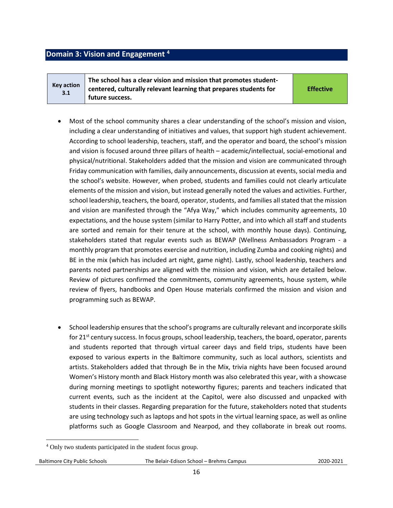#### <span id="page-15-0"></span>**Domain 3: Vision and Engagement <sup>4</sup>**

**Key action 3.1 The school has a clear vision and mission that promotes studentcentered, culturally relevant learning that prepares students for future success.** 

**Effective**

- Most of the school community shares a clear understanding of the school's mission and vision, including a clear understanding of initiatives and values, that support high student achievement. According to school leadership, teachers, staff, and the operator and board, the school's mission and vision is focused around three pillars of health – academic/intellectual, social-emotional and physical/nutritional. Stakeholders added that the mission and vision are communicated through Friday communication with families, daily announcements, discussion at events, social media and the school's website. However, when probed, students and families could not clearly articulate elements of the mission and vision, but instead generally noted the values and activities. Further, school leadership, teachers, the board, operator, students, and families all stated that the mission and vision are manifested through the "Afya Way," which includes community agreements, 10 expectations, and the house system (similar to Harry Potter, and into which all staff and students are sorted and remain for their tenure at the school, with monthly house days). Continuing, stakeholders stated that regular events such as BEWAP (Wellness Ambassadors Program - a monthly program that promotes exercise and nutrition, including Zumba and cooking nights) and BE in the mix (which has included art night, game night). Lastly, school leadership, teachers and parents noted partnerships are aligned with the mission and vision, which are detailed below. Review of pictures confirmed the commitments, community agreements, house system, while review of flyers, handbooks and Open House materials confirmed the mission and vision and programming such as BEWAP.
- School leadership ensures that the school's programs are culturally relevant and incorporate skills for  $21^{st}$  century success. In focus groups, school leadership, teachers, the board, operator, parents and students reported that through virtual career days and field trips, students have been exposed to various experts in the Baltimore community, such as local authors, scientists and artists. Stakeholders added that through Be in the Mix, trivia nights have been focused around Women's History month and Black History month was also celebrated this year, with a showcase during morning meetings to spotlight noteworthy figures; parents and teachers indicated that current events, such as the incident at the Capitol, were also discussed and unpacked with students in their classes. Regarding preparation for the future, stakeholders noted that students are using technology such as laptops and hot spots in the virtual learning space, as well as online platforms such as Google Classroom and Nearpod, and they collaborate in break out rooms.

 $\overline{\phantom{a}}$ 

<sup>&</sup>lt;sup>4</sup> Only two students participated in the student focus group.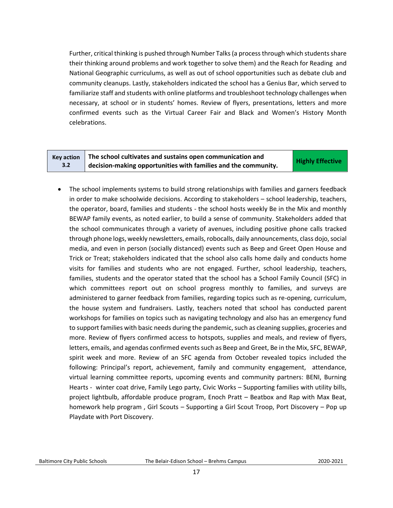Further, critical thinking is pushed through Number Talks (a process through which students share their thinking around problems and work together to solve them) and the Reach for Reading and National Geographic curriculums, as well as out of school opportunities such as debate club and community cleanups. Lastly, stakeholders indicated the school has a Genius Bar, which served to familiarize staff and students with online platforms and troubleshoot technology challenges when necessary, at school or in students' homes. Review of flyers, presentations, letters and more confirmed events such as the Virtual Career Fair and Black and Women's History Month celebrations.

#### **Key action 3.2 The school cultivates and sustains open communication and decision-making opportunities with families and the community. Highly Effective**

• The school implements systems to build strong relationships with families and garners feedback in order to make schoolwide decisions. According to stakeholders – school leadership, teachers, the operator, board, families and students - the school hosts weekly Be in the Mix and monthly BEWAP family events, as noted earlier, to build a sense of community. Stakeholders added that the school communicates through a variety of avenues, including positive phone calls tracked through phone logs, weekly newsletters, emails, robocalls, daily announcements, class dojo, social media, and even in person (socially distanced) events such as Beep and Greet Open House and Trick or Treat; stakeholders indicated that the school also calls home daily and conducts home visits for families and students who are not engaged. Further, school leadership, teachers, families, students and the operator stated that the school has a School Family Council (SFC) in which committees report out on school progress monthly to families, and surveys are administered to garner feedback from families, regarding topics such as re-opening, curriculum, the house system and fundraisers. Lastly, teachers noted that school has conducted parent workshops for families on topics such as navigating technology and also has an emergency fund to support families with basic needs during the pandemic, such as cleaning supplies, groceries and more. Review of flyers confirmed access to hotspots, supplies and meals, and review of flyers, letters, emails, and agendas confirmed events such as Beep and Greet, Be in the Mix, SFC, BEWAP, spirit week and more. Review of an SFC agenda from October revealed topics included the following: Principal's report, achievement, family and community engagement, attendance, virtual learning committee reports, upcoming events and community partners: BENI, Burning Hearts - winter coat drive, Family Lego party, Civic Works – Supporting families with utility bills, project lightbulb, affordable produce program, Enoch Pratt – Beatbox and Rap with Max Beat, homework help program , Girl Scouts – Supporting a Girl Scout Troop, Port Discovery – Pop up Playdate with Port Discovery.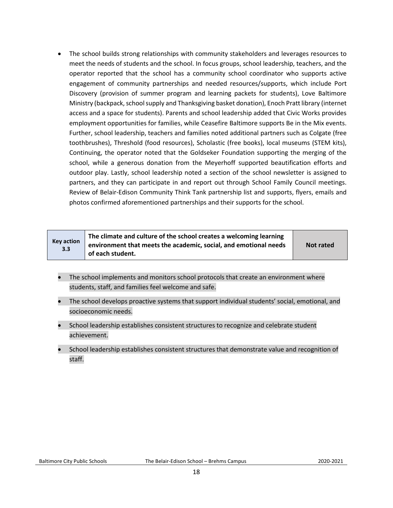• The school builds strong relationships with community stakeholders and leverages resources to meet the needs of students and the school. In focus groups, school leadership, teachers, and the operator reported that the school has a community school coordinator who supports active engagement of community partnerships and needed resources/supports, which include Port Discovery (provision of summer program and learning packets for students), Love Baltimore Ministry (backpack, school supply and Thanksgiving basket donation), Enoch Pratt library (internet access and a space for students). Parents and school leadership added that Civic Works provides employment opportunities for families, while Ceasefire Baltimore supports Be in the Mix events. Further, school leadership, teachers and families noted additional partners such as Colgate (free toothbrushes), Threshold (food resources), Scholastic (free books), local museums (STEM kits), Continuing, the operator noted that the Goldseker Foundation supporting the merging of the school, while a generous donation from the Meyerhoff supported beautification efforts and outdoor play. Lastly, school leadership noted a section of the school newsletter is assigned to partners, and they can participate in and report out through School Family Council meetings. Review of Belair-Edison Community Think Tank partnership list and supports, flyers, emails and photos confirmed aforementioned partnerships and their supports for the school.

| <b>Key action</b><br>3.3 | The climate and culture of the school creates a welcoming learning<br>environment that meets the academic, social, and emotional needs<br>of each student. | <b>Not rated</b> |
|--------------------------|------------------------------------------------------------------------------------------------------------------------------------------------------------|------------------|
|--------------------------|------------------------------------------------------------------------------------------------------------------------------------------------------------|------------------|

- The school implements and monitors school protocols that create an environment where students, staff, and families feel welcome and safe.
- The school develops proactive systems that support individual students' social, emotional, and socioeconomic needs.
- School leadership establishes consistent structures to recognize and celebrate student achievement.
- School leadership establishes consistent structures that demonstrate value and recognition of staff.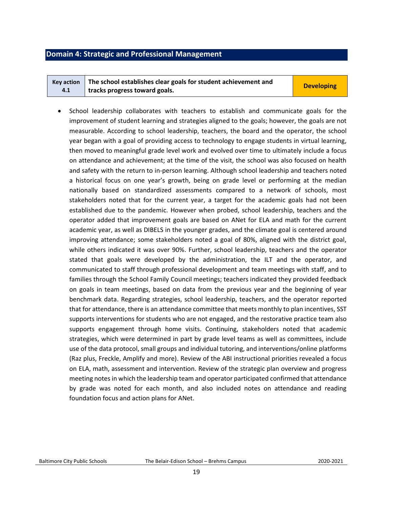#### <span id="page-18-0"></span>**Domain 4: Strategic and Professional Management**

|     | Key action $\parallel$ The school establishes clear goals for student achievement and | <b>Developing</b> |
|-----|---------------------------------------------------------------------------------------|-------------------|
| 4.1 | tracks progress toward goals.                                                         |                   |

• School leadership collaborates with teachers to establish and communicate goals for the improvement of student learning and strategies aligned to the goals; however, the goals are not measurable. According to school leadership, teachers, the board and the operator, the school year began with a goal of providing access to technology to engage students in virtual learning, then moved to meaningful grade level work and evolved over time to ultimately include a focus on attendance and achievement; at the time of the visit, the school was also focused on health and safety with the return to in-person learning. Although school leadership and teachers noted a historical focus on one year's growth, being on grade level or performing at the median nationally based on standardized assessments compared to a network of schools, most stakeholders noted that for the current year, a target for the academic goals had not been established due to the pandemic. However when probed, school leadership, teachers and the operator added that improvement goals are based on ANet for ELA and math for the current academic year, as well as DIBELS in the younger grades, and the climate goal is centered around improving attendance; some stakeholders noted a goal of 80%, aligned with the district goal, while others indicated it was over 90%. Further, school leadership, teachers and the operator stated that goals were developed by the administration, the ILT and the operator, and communicated to staff through professional development and team meetings with staff, and to families through the School Family Council meetings; teachers indicated they provided feedback on goals in team meetings, based on data from the previous year and the beginning of year benchmark data. Regarding strategies, school leadership, teachers, and the operator reported that for attendance, there is an attendance committee that meets monthly to plan incentives, SST supports interventions for students who are not engaged, and the restorative practice team also supports engagement through home visits. Continuing, stakeholders noted that academic strategies, which were determined in part by grade level teams as well as committees, include use of the data protocol, small groups and individual tutoring, and interventions/online platforms (Raz plus, Freckle, Amplify and more). Review of the ABI instructional priorities revealed a focus on ELA, math, assessment and intervention. Review of the strategic plan overview and progress meeting notes in which the leadership team and operator participated confirmed that attendance by grade was noted for each month, and also included notes on attendance and reading foundation focus and action plans for ANet.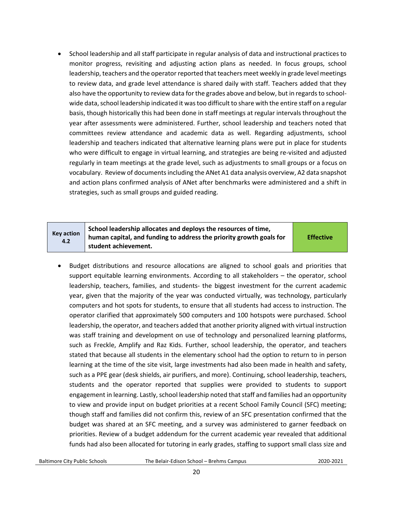• School leadership and all staff participate in regular analysis of data and instructional practices to monitor progress, revisiting and adjusting action plans as needed. In focus groups, school leadership, teachers and the operator reported that teachers meet weekly in grade level meetings to review data, and grade level attendance is shared daily with staff. Teachers added that they also have the opportunity to review data for the grades above and below, but in regards to schoolwide data, school leadership indicated it was too difficult to share with the entire staff on a regular basis, though historically this had been done in staff meetings at regular intervals throughout the year after assessments were administered. Further, school leadership and teachers noted that committees review attendance and academic data as well. Regarding adjustments, school leadership and teachers indicated that alternative learning plans were put in place for students who were difficult to engage in virtual learning, and strategies are being re-visited and adjusted regularly in team meetings at the grade level, such as adjustments to small groups or a focus on vocabulary. Review of documents including the ANet A1 data analysis overview, A2 data snapshot and action plans confirmed analysis of ANet after benchmarks were administered and a shift in strategies, such as small groups and guided reading.

#### **Key action 4.2 School leadership allocates and deploys the resources of time, human capital, and funding to address the priority growth goals for student achievement. Effective**

• Budget distributions and resource allocations are aligned to school goals and priorities that support equitable learning environments. According to all stakeholders – the operator, school leadership, teachers, families, and students- the biggest investment for the current academic year, given that the majority of the year was conducted virtually, was technology, particularly computers and hot spots for students, to ensure that all students had access to instruction. The operator clarified that approximately 500 computers and 100 hotspots were purchased. School leadership, the operator, and teachers added that another priority aligned with virtual instruction was staff training and development on use of technology and personalized learning platforms, such as Freckle, Amplify and Raz Kids. Further, school leadership, the operator, and teachers stated that because all students in the elementary school had the option to return to in person learning at the time of the site visit, large investments had also been made in health and safety, such as a PPE gear (desk shields, air purifiers, and more). Continuing, school leadership, teachers, students and the operator reported that supplies were provided to students to support engagement in learning. Lastly, school leadership noted that staff and families had an opportunity to view and provide input on budget priorities at a recent School Family Council (SFC) meeting; though staff and families did not confirm this, review of an SFC presentation confirmed that the budget was shared at an SFC meeting, and a survey was administered to garner feedback on priorities. Review of a budget addendum for the current academic year revealed that additional funds had also been allocated for tutoring in early grades, staffing to support small class size and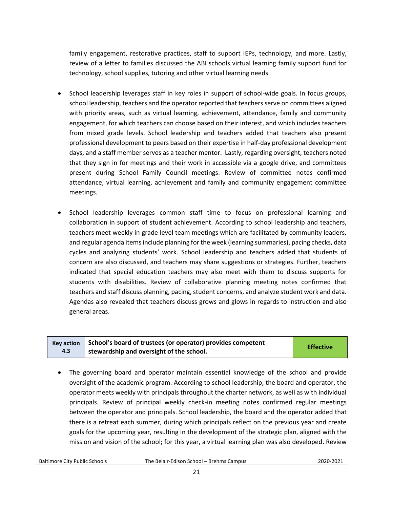family engagement, restorative practices, staff to support IEPs, technology, and more. Lastly, review of a letter to families discussed the ABI schools virtual learning family support fund for technology, school supplies, tutoring and other virtual learning needs.

- School leadership leverages staff in key roles in support of school-wide goals. In focus groups, school leadership, teachers and the operator reported that teachers serve on committees aligned with priority areas, such as virtual learning, achievement, attendance, family and community engagement, for which teachers can choose based on their interest, and which includes teachers from mixed grade levels. School leadership and teachers added that teachers also present professional development to peers based on their expertise in half-day professional development days, and a staff member serves as a teacher mentor. Lastly, regarding oversight, teachers noted that they sign in for meetings and their work in accessible via a google drive, and committees present during School Family Council meetings. Review of committee notes confirmed attendance, virtual learning, achievement and family and community engagement committee meetings.
- School leadership leverages common staff time to focus on professional learning and collaboration in support of student achievement. According to school leadership and teachers, teachers meet weekly in grade level team meetings which are facilitated by community leaders, and regular agenda items include planning for the week (learning summaries), pacing checks, data cycles and analyzing students' work. School leadership and teachers added that students of concern are also discussed, and teachers may share suggestions or strategies. Further, teachers indicated that special education teachers may also meet with them to discuss supports for students with disabilities. Review of collaborative planning meeting notes confirmed that teachers and staff discuss planning, pacing, student concerns, and analyze student work and data. Agendas also revealed that teachers discuss grows and glows in regards to instruction and also general areas.

|     | $\overline{a}$ Key action $\overline{a}$ School's board of trustees (or operator) provides competent | <b>Effective</b> |
|-----|------------------------------------------------------------------------------------------------------|------------------|
| 4.3 | I stewardship and oversight of the school.                                                           |                  |

• The governing board and operator maintain essential knowledge of the school and provide oversight of the academic program. According to school leadership, the board and operator, the operator meets weekly with principals throughout the charter network, as well as with individual principals. Review of principal weekly check-in meeting notes confirmed regular meetings between the operator and principals. School leadership, the board and the operator added that there is a retreat each summer, during which principals reflect on the previous year and create goals for the upcoming year, resulting in the development of the strategic plan, aligned with the mission and vision of the school; for this year, a virtual learning plan was also developed. Review

Baltimore City Public Schools The Belair-Edison School – Brehms Campus2020-2021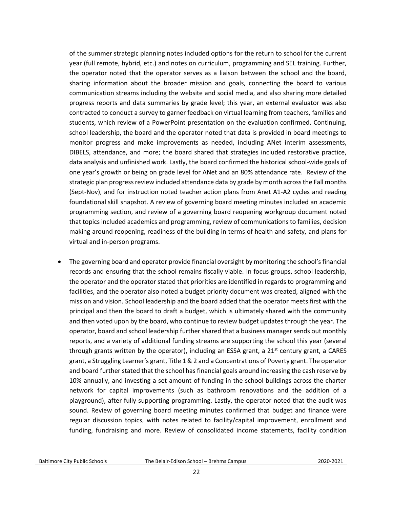of the summer strategic planning notes included options for the return to school for the current year (full remote, hybrid, etc.) and notes on curriculum, programming and SEL training. Further, the operator noted that the operator serves as a liaison between the school and the board, sharing information about the broader mission and goals, connecting the board to various communication streams including the website and social media, and also sharing more detailed progress reports and data summaries by grade level; this year, an external evaluator was also contracted to conduct a survey to garner feedback on virtual learning from teachers, families and students, which review of a PowerPoint presentation on the evaluation confirmed. Continuing, school leadership, the board and the operator noted that data is provided in board meetings to monitor progress and make improvements as needed, including ANet interim assessments, DIBELS, attendance, and more; the board shared that strategies included restorative practice, data analysis and unfinished work. Lastly, the board confirmed the historical school-wide goals of one year's growth or being on grade level for ANet and an 80% attendance rate. Review of the strategic plan progress review included attendance data by grade by month across the Fall months (Sept-Nov), and for instruction noted teacher action plans from Anet A1-A2 cycles and reading foundational skill snapshot. A review of governing board meeting minutes included an academic programming section, and review of a governing board reopening workgroup document noted that topics included academics and programming, review of communications to families, decision making around reopening, readiness of the building in terms of health and safety, and plans for virtual and in-person programs.

• The governing board and operator provide financial oversight by monitoring the school's financial records and ensuring that the school remains fiscally viable. In focus groups, school leadership, the operator and the operator stated that priorities are identified in regards to programming and facilities, and the operator also noted a budget priority document was created, aligned with the mission and vision. School leadership and the board added that the operator meets first with the principal and then the board to draft a budget, which is ultimately shared with the community and then voted upon by the board, who continue to review budget updates through the year. The operator, board and school leadership further shared that a business manager sends out monthly reports, and a variety of additional funding streams are supporting the school this year (several through grants written by the operator), including an ESSA grant, a  $21<sup>st</sup>$  century grant, a CARES grant, a Struggling Learner's grant, Title 1 & 2 and a Concentrations of Poverty grant. The operator and board further stated that the school has financial goals around increasing the cash reserve by 10% annually, and investing a set amount of funding in the school buildings across the charter network for capital improvements (such as bathroom renovations and the addition of a playground), after fully supporting programming. Lastly, the operator noted that the audit was sound. Review of governing board meeting minutes confirmed that budget and finance were regular discussion topics, with notes related to facility/capital improvement, enrollment and funding, fundraising and more. Review of consolidated income statements, facility condition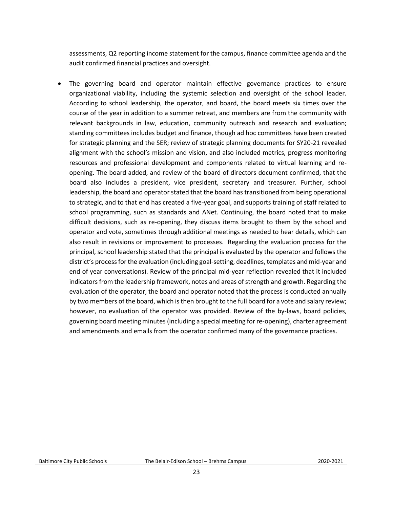assessments, Q2 reporting income statement for the campus, finance committee agenda and the audit confirmed financial practices and oversight.

The governing board and operator maintain effective governance practices to ensure organizational viability, including the systemic selection and oversight of the school leader. According to school leadership, the operator, and board, the board meets six times over the course of the year in addition to a summer retreat, and members are from the community with relevant backgrounds in law, education, community outreach and research and evaluation; standing committees includes budget and finance, though ad hoc committees have been created for strategic planning and the SER; review of strategic planning documents for SY20-21 revealed alignment with the school's mission and vision, and also included metrics, progress monitoring resources and professional development and components related to virtual learning and reopening. The board added, and review of the board of directors document confirmed, that the board also includes a president, vice president, secretary and treasurer. Further, school leadership, the board and operator stated that the board has transitioned from being operational to strategic, and to that end has created a five-year goal, and supports training of staff related to school programming, such as standards and ANet. Continuing, the board noted that to make difficult decisions, such as re-opening, they discuss items brought to them by the school and operator and vote, sometimes through additional meetings as needed to hear details, which can also result in revisions or improvement to processes. Regarding the evaluation process for the principal, school leadership stated that the principal is evaluated by the operator and follows the district's process for the evaluation (including goal-setting, deadlines, templates and mid-year and end of year conversations). Review of the principal mid-year reflection revealed that it included indicators from the leadership framework, notes and areas of strength and growth. Regarding the evaluation of the operator, the board and operator noted that the process is conducted annually by two members of the board, which is then brought to the full board for a vote and salary review; however, no evaluation of the operator was provided. Review of the by-laws, board policies, governing board meeting minutes(including a special meeting for re-opening), charter agreement and amendments and emails from the operator confirmed many of the governance practices.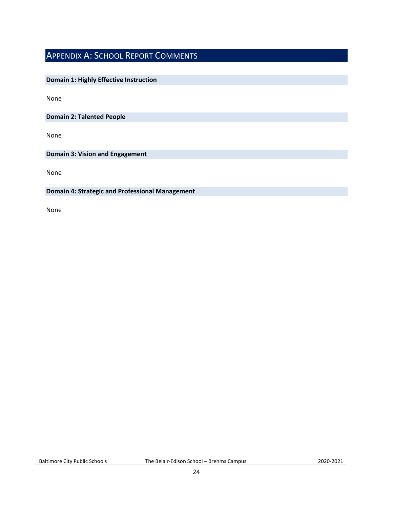## <span id="page-23-0"></span>APPENDIX A: SCHOOL REPORT COMMENTS

#### **Domain 1: Highly Effective Instruction**

None

**Domain 2: Talented People**

None

**Domain 3: Vision and Engagement**

None

#### **Domain 4: Strategic and Professional Management**

None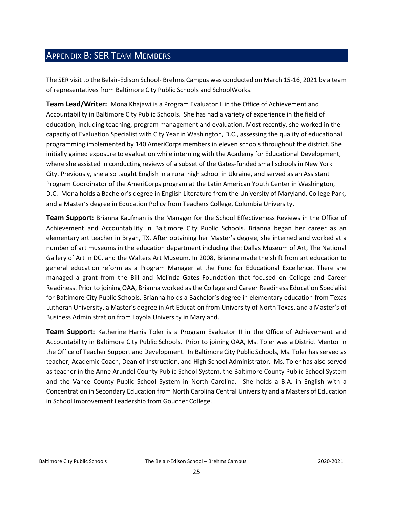## <span id="page-24-0"></span>APPENDIX B: SER TEAM MEMBERS

The SER visit to the Belair-Edison School- Brehms Campus was conducted on March 15-16, 2021 by a team of representatives from Baltimore City Public Schools and SchoolWorks.

**Team Lead/Writer:** Mona Khajawi is a Program Evaluator II in the Office of Achievement and Accountability in Baltimore City Public Schools. She has had a variety of experience in the field of education, including teaching, program management and evaluation. Most recently, she worked in the capacity of Evaluation Specialist with City Year in Washington, D.C., assessing the quality of educational programming implemented by 140 AmeriCorps members in eleven schools throughout the district. She initially gained exposure to evaluation while interning with the Academy for Educational Development, where she assisted in conducting reviews of a subset of the Gates-funded small schools in New York City. Previously, she also taught English in a rural high school in Ukraine, and served as an Assistant Program Coordinator of the AmeriCorps program at the Latin American Youth Center in Washington, D.C. Mona holds a Bachelor's degree in English Literature from the University of Maryland, College Park, and a Master's degree in Education Policy from Teachers College, Columbia University.

**Team Support:** Brianna Kaufman is the Manager for the School Effectiveness Reviews in the Office of Achievement and Accountability in Baltimore City Public Schools. Brianna began her career as an elementary art teacher in Bryan, TX. After obtaining her Master's degree, she interned and worked at a number of art museums in the education department including the: Dallas Museum of Art, The National Gallery of Art in DC, and the Walters Art Museum. In 2008, Brianna made the shift from art education to general education reform as a Program Manager at the Fund for Educational Excellence. There she managed a grant from the Bill and Melinda Gates Foundation that focused on College and Career Readiness. Prior to joining OAA, Brianna worked as the College and Career Readiness Education Specialist for Baltimore City Public Schools. Brianna holds a Bachelor's degree in elementary education from Texas Lutheran University, a Master's degree in Art Education from University of North Texas, and a Master's of Business Administration from Loyola University in Maryland.

**Team Support:** Katherine Harris Toler is a Program Evaluator II in the Office of Achievement and Accountability in Baltimore City Public Schools. Prior to joining OAA, Ms. Toler was a District Mentor in the Office of Teacher Support and Development. In Baltimore City Public Schools, Ms. Toler has served as teacher, Academic Coach, Dean of Instruction, and High School Administrator. Ms. Toler has also served as teacher in the Anne Arundel County Public School System, the Baltimore County Public School System and the Vance County Public School System in North Carolina. She holds a B.A. in English with a Concentration in Secondary Education from North Carolina Central University and a Masters of Education in School Improvement Leadership from Goucher College.